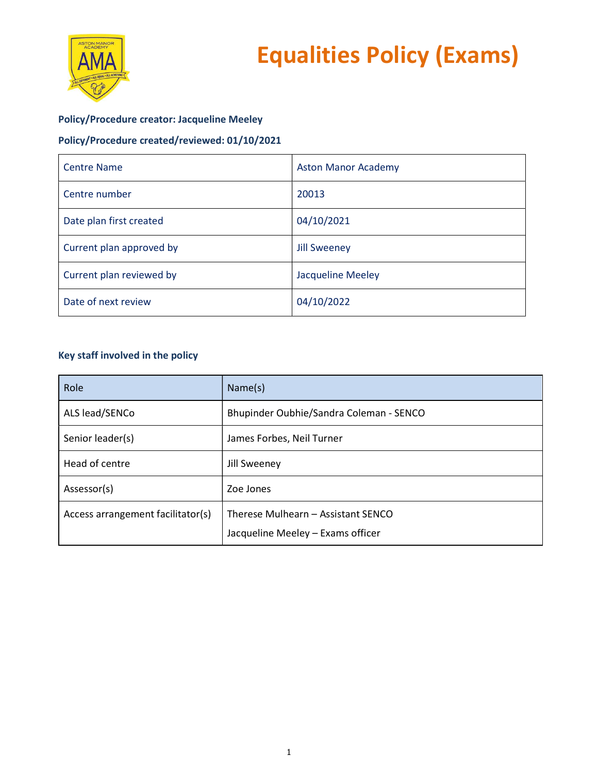



# Policy/Procedure creator: Jacqueline Meeley

# Policy/Procedure created/reviewed: 01/10/2021

| <b>Centre Name</b>       | <b>Aston Manor Academy</b> |
|--------------------------|----------------------------|
| Centre number            | 20013                      |
| Date plan first created  | 04/10/2021                 |
| Current plan approved by | <b>Jill Sweeney</b>        |
| Current plan reviewed by | <b>Jacqueline Meeley</b>   |
| Date of next review      | 04/10/2022                 |

# Key staff involved in the policy

| Role                              | Name(s)                                                                 |
|-----------------------------------|-------------------------------------------------------------------------|
| ALS lead/SENCo                    | Bhupinder Oubhie/Sandra Coleman - SENCO                                 |
| Senior leader(s)                  | James Forbes, Neil Turner                                               |
| Head of centre                    | Jill Sweeney                                                            |
| Assessor(s)                       | Zoe Jones                                                               |
| Access arrangement facilitator(s) | Therese Mulhearn - Assistant SENCO<br>Jacqueline Meeley - Exams officer |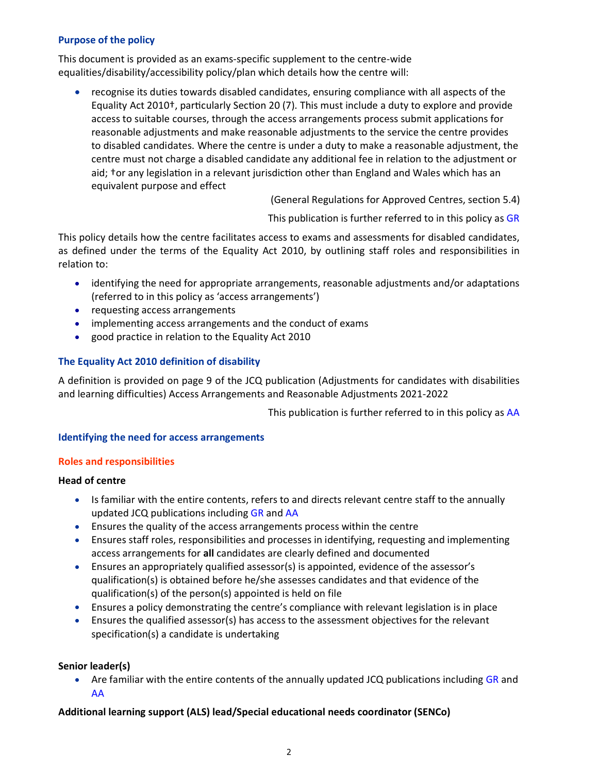## Purpose of the policy

This document is provided as an exams-specific supplement to the centre-wide equalities/disability/accessibility policy/plan which details how the centre will:

 recognise its duties towards disabled candidates, ensuring compliance with all aspects of the Equality Act 2010†, particularly Section 20 (7). This must include a duty to explore and provide access to suitable courses, through the access arrangements process submit applications for reasonable adjustments and make reasonable adjustments to the service the centre provides to disabled candidates. Where the centre is under a duty to make a reasonable adjustment, the centre must not charge a disabled candidate any additional fee in relation to the adjustment or aid; tor any legislation in a relevant jurisdiction other than England and Wales which has an equivalent purpose and effect

(General Regulations for Approved Centres, section 5.4)

This publication is further referred to in this policy as GR

This policy details how the centre facilitates access to exams and assessments for disabled candidates, as defined under the terms of the Equality Act 2010, by outlining staff roles and responsibilities in relation to:

- identifying the need for appropriate arrangements, reasonable adjustments and/or adaptations (referred to in this policy as 'access arrangements')
- requesting access arrangements
- implementing access arrangements and the conduct of exams
- good practice in relation to the Equality Act 2010

## The Equality Act 2010 definition of disability

A definition is provided on page 9 of the JCQ publication (Adjustments for candidates with disabilities and learning difficulties) Access Arrangements and Reasonable Adjustments 2021-2022

This publication is further referred to in this policy as AA

### Identifying the need for access arrangements

### Roles and responsibilities

## Head of centre

- Is familiar with the entire contents, refers to and directs relevant centre staff to the annually updated JCQ publications including GR and AA
- Ensures the quality of the access arrangements process within the centre
- Ensures staff roles, responsibilities and processes in identifying, requesting and implementing access arrangements for all candidates are clearly defined and documented
- Ensures an appropriately qualified assessor(s) is appointed, evidence of the assessor's qualification(s) is obtained before he/she assesses candidates and that evidence of the qualification(s) of the person(s) appointed is held on file
- Ensures a policy demonstrating the centre's compliance with relevant legislation is in place
- Ensures the qualified assessor(s) has access to the assessment objectives for the relevant specification(s) a candidate is undertaking

### Senior leader(s)

• Are familiar with the entire contents of the annually updated JCQ publications including GR and AA

### Additional learning support (ALS) lead/Special educational needs coordinator (SENCo)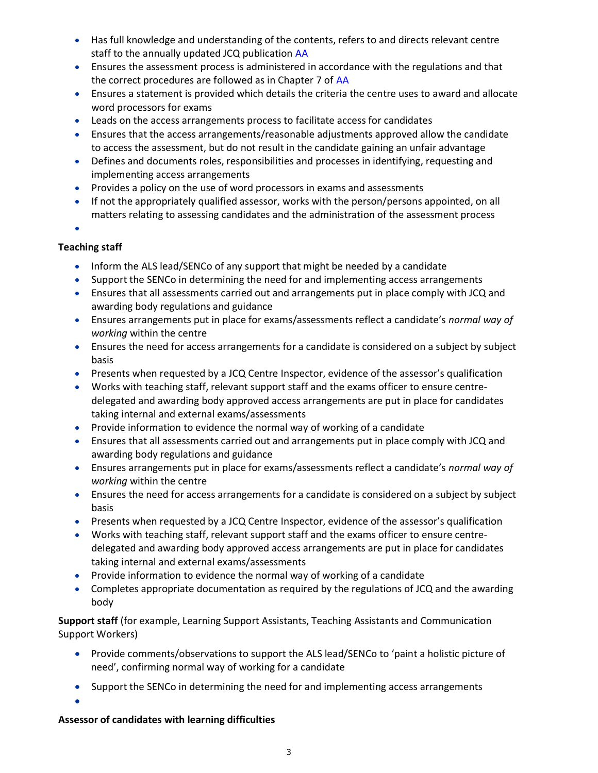- Has full knowledge and understanding of the contents, refers to and directs relevant centre staff to the annually updated JCQ publication AA
- Ensures the assessment process is administered in accordance with the regulations and that the correct procedures are followed as in Chapter 7 of AA
- Ensures a statement is provided which details the criteria the centre uses to award and allocate word processors for exams
- Leads on the access arrangements process to facilitate access for candidates
- Ensures that the access arrangements/reasonable adjustments approved allow the candidate to access the assessment, but do not result in the candidate gaining an unfair advantage
- Defines and documents roles, responsibilities and processes in identifying, requesting and implementing access arrangements
- Provides a policy on the use of word processors in exams and assessments
- If not the appropriately qualified assessor, works with the person/persons appointed, on all matters relating to assessing candidates and the administration of the assessment process

 $\bullet$ 

# Teaching staff

- Inform the ALS lead/SENCo of any support that might be needed by a candidate
- Support the SENCo in determining the need for and implementing access arrangements
- Ensures that all assessments carried out and arrangements put in place comply with JCQ and awarding body regulations and guidance
- Ensures arrangements put in place for exams/assessments reflect a candidate's normal way of working within the centre
- Ensures the need for access arrangements for a candidate is considered on a subject by subject basis
- Presents when requested by a JCQ Centre Inspector, evidence of the assessor's qualification
- Works with teaching staff, relevant support staff and the exams officer to ensure centredelegated and awarding body approved access arrangements are put in place for candidates taking internal and external exams/assessments
- Provide information to evidence the normal way of working of a candidate
- Ensures that all assessments carried out and arrangements put in place comply with JCQ and awarding body regulations and guidance
- Ensures arrangements put in place for exams/assessments reflect a candidate's normal way of working within the centre
- Ensures the need for access arrangements for a candidate is considered on a subject by subject basis
- Presents when requested by a JCQ Centre Inspector, evidence of the assessor's qualification
- Works with teaching staff, relevant support staff and the exams officer to ensure centredelegated and awarding body approved access arrangements are put in place for candidates taking internal and external exams/assessments
- Provide information to evidence the normal way of working of a candidate
- Completes appropriate documentation as required by the regulations of JCQ and the awarding body

Support staff (for example, Learning Support Assistants, Teaching Assistants and Communication Support Workers)

- Provide comments/observations to support the ALS lead/SENCo to 'paint a holistic picture of need', confirming normal way of working for a candidate
- Support the SENCo in determining the need for and implementing access arrangements

 $\bullet$ 

# Assessor of candidates with learning difficulties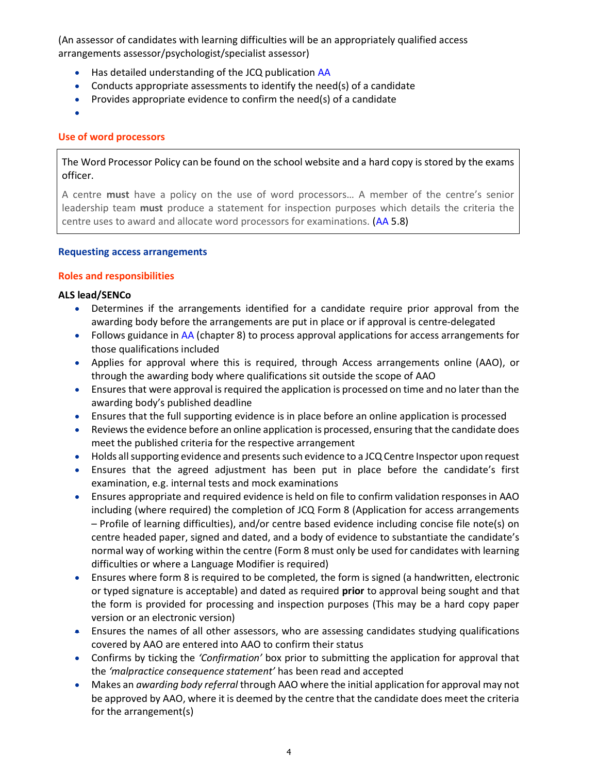(An assessor of candidates with learning difficulties will be an appropriately qualified access arrangements assessor/psychologist/specialist assessor)

- Has detailed understanding of the JCQ publication AA
- Conducts appropriate assessments to identify the need(s) of a candidate
- Provides appropriate evidence to confirm the need(s) of a candidate
- $\bullet$

## Use of word processors

The Word Processor Policy can be found on the school website and a hard copy is stored by the exams officer.

A centre must have a policy on the use of word processors… A member of the centre's senior leadership team must produce a statement for inspection purposes which details the criteria the centre uses to award and allocate word processors for examinations. (AA 5.8)

### Requesting access arrangements

## Roles and responsibilities

## ALS lead/SENCo

- Determines if the arrangements identified for a candidate require prior approval from the awarding body before the arrangements are put in place or if approval is centre-delegated
- Follows guidance in AA (chapter 8) to process approval applications for access arrangements for those qualifications included
- Applies for approval where this is required, through Access arrangements online (AAO), or through the awarding body where qualifications sit outside the scope of AAO
- Ensures that were approval is required the application is processed on time and no later than the awarding body's published deadline
- Ensures that the full supporting evidence is in place before an online application is processed
- Reviews the evidence before an online application is processed, ensuring that the candidate does meet the published criteria for the respective arrangement
- Holds all supporting evidence and presents such evidence to a JCQ Centre Inspector upon request
- Ensures that the agreed adjustment has been put in place before the candidate's first examination, e.g. internal tests and mock examinations
- Ensures appropriate and required evidence is held on file to confirm validation responses in AAO including (where required) the completion of JCQ Form 8 (Application for access arrangements – Profile of learning difficulties), and/or centre based evidence including concise file note(s) on centre headed paper, signed and dated, and a body of evidence to substantiate the candidate's normal way of working within the centre (Form 8 must only be used for candidates with learning difficulties or where a Language Modifier is required)
- Ensures where form 8 is required to be completed, the form is signed (a handwritten, electronic or typed signature is acceptable) and dated as required prior to approval being sought and that the form is provided for processing and inspection purposes (This may be a hard copy paper version or an electronic version)
- Ensures the names of all other assessors, who are assessing candidates studying qualifications covered by AAO are entered into AAO to confirm their status
- Confirms by ticking the 'Confirmation' box prior to submitting the application for approval that the 'malpractice consequence statement' has been read and accepted
- Makes an *awarding body referral* through AAO where the initial application for approval may not be approved by AAO, where it is deemed by the centre that the candidate does meet the criteria for the arrangement(s)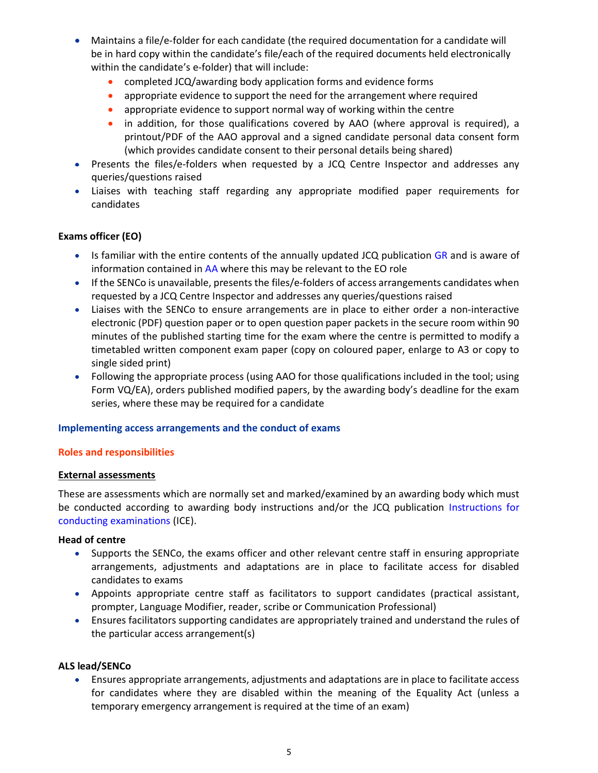- Maintains a file/e-folder for each candidate (the required documentation for a candidate will be in hard copy within the candidate's file/each of the required documents held electronically within the candidate's e-folder) that will include:
	- completed JCQ/awarding body application forms and evidence forms
	- appropriate evidence to support the need for the arrangement where required
	- appropriate evidence to support normal way of working within the centre
	- in addition, for those qualifications covered by AAO (where approval is required), a printout/PDF of the AAO approval and a signed candidate personal data consent form (which provides candidate consent to their personal details being shared)
- Presents the files/e-folders when requested by a JCQ Centre Inspector and addresses any queries/questions raised
- Liaises with teaching staff regarding any appropriate modified paper requirements for candidates

## Exams officer (EO)

- Is familiar with the entire contents of the annually updated JCQ publication GR and is aware of information contained in AA where this may be relevant to the EO role
- If the SENCo is unavailable, presents the files/e-folders of access arrangements candidates when requested by a JCQ Centre Inspector and addresses any queries/questions raised
- Liaises with the SENCo to ensure arrangements are in place to either order a non-interactive electronic (PDF) question paper or to open question paper packets in the secure room within 90 minutes of the published starting time for the exam where the centre is permitted to modify a timetabled written component exam paper (copy on coloured paper, enlarge to A3 or copy to single sided print)
- Following the appropriate process (using AAO for those qualifications included in the tool; using Form VQ/EA), orders published modified papers, by the awarding body's deadline for the exam series, where these may be required for a candidate

### Implementing access arrangements and the conduct of exams

### Roles and responsibilities

### External assessments

These are assessments which are normally set and marked/examined by an awarding body which must be conducted according to awarding body instructions and/or the JCQ publication Instructions for conducting examinations (ICE).

### Head of centre

- Supports the SENCo, the exams officer and other relevant centre staff in ensuring appropriate arrangements, adjustments and adaptations are in place to facilitate access for disabled candidates to exams
- Appoints appropriate centre staff as facilitators to support candidates (practical assistant, prompter, Language Modifier, reader, scribe or Communication Professional)
- Ensures facilitators supporting candidates are appropriately trained and understand the rules of the particular access arrangement(s)

### ALS lead/SENCo

 Ensures appropriate arrangements, adjustments and adaptations are in place to facilitate access for candidates where they are disabled within the meaning of the Equality Act (unless a temporary emergency arrangement is required at the time of an exam)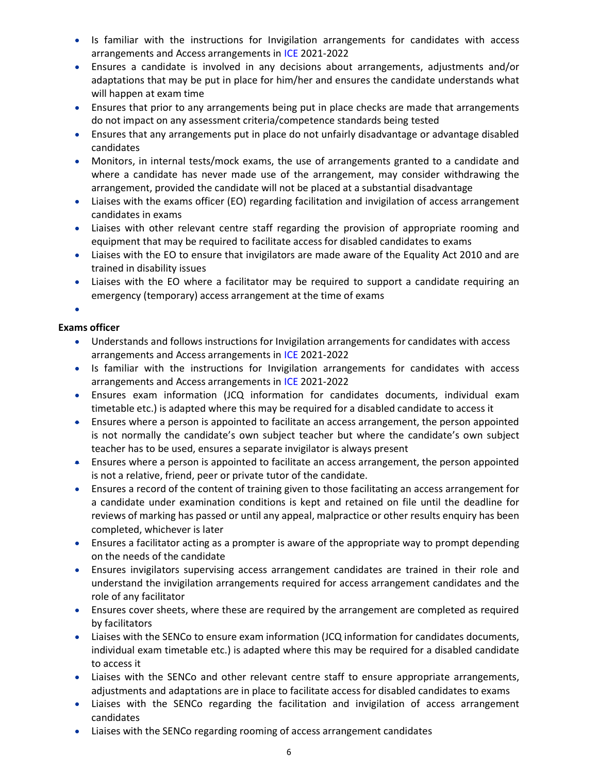- Is familiar with the instructions for Invigilation arrangements for candidates with access arrangements and Access arrangements in ICE 2021-2022
- Ensures a candidate is involved in any decisions about arrangements, adjustments and/or adaptations that may be put in place for him/her and ensures the candidate understands what will happen at exam time
- Ensures that prior to any arrangements being put in place checks are made that arrangements do not impact on any assessment criteria/competence standards being tested
- Ensures that any arrangements put in place do not unfairly disadvantage or advantage disabled candidates
- Monitors, in internal tests/mock exams, the use of arrangements granted to a candidate and where a candidate has never made use of the arrangement, may consider withdrawing the arrangement, provided the candidate will not be placed at a substantial disadvantage
- Liaises with the exams officer (EO) regarding facilitation and invigilation of access arrangement candidates in exams
- Liaises with other relevant centre staff regarding the provision of appropriate rooming and equipment that may be required to facilitate access for disabled candidates to exams
- Liaises with the EO to ensure that invigilators are made aware of the Equality Act 2010 and are trained in disability issues
- Liaises with the EO where a facilitator may be required to support a candidate requiring an emergency (temporary) access arrangement at the time of exams

 $\bullet$ 

## Exams officer

- Understands and follows instructions for Invigilation arrangements for candidates with access arrangements and Access arrangements in ICE 2021-2022
- Is familiar with the instructions for Invigilation arrangements for candidates with access arrangements and Access arrangements in ICE 2021-2022
- Ensures exam information (JCQ information for candidates documents, individual exam timetable etc.) is adapted where this may be required for a disabled candidate to access it
- Ensures where a person is appointed to facilitate an access arrangement, the person appointed is not normally the candidate's own subject teacher but where the candidate's own subject teacher has to be used, ensures a separate invigilator is always present
- Ensures where a person is appointed to facilitate an access arrangement, the person appointed is not a relative, friend, peer or private tutor of the candidate.
- Ensures a record of the content of training given to those facilitating an access arrangement for a candidate under examination conditions is kept and retained on file until the deadline for reviews of marking has passed or until any appeal, malpractice or other results enquiry has been completed, whichever is later
- Ensures a facilitator acting as a prompter is aware of the appropriate way to prompt depending on the needs of the candidate
- Ensures invigilators supervising access arrangement candidates are trained in their role and understand the invigilation arrangements required for access arrangement candidates and the role of any facilitator
- Ensures cover sheets, where these are required by the arrangement are completed as required by facilitators
- Liaises with the SENCo to ensure exam information (JCQ information for candidates documents, individual exam timetable etc.) is adapted where this may be required for a disabled candidate to access it
- Liaises with the SENCo and other relevant centre staff to ensure appropriate arrangements, adjustments and adaptations are in place to facilitate access for disabled candidates to exams
- Liaises with the SENCo regarding the facilitation and invigilation of access arrangement candidates
- Liaises with the SENCo regarding rooming of access arrangement candidates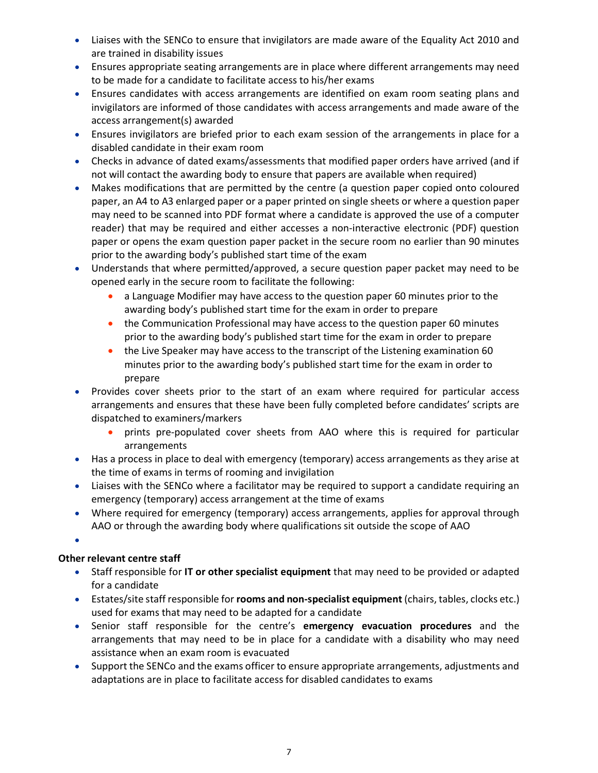- Liaises with the SENCo to ensure that invigilators are made aware of the Equality Act 2010 and are trained in disability issues
- Ensures appropriate seating arrangements are in place where different arrangements may need to be made for a candidate to facilitate access to his/her exams
- Ensures candidates with access arrangements are identified on exam room seating plans and invigilators are informed of those candidates with access arrangements and made aware of the access arrangement(s) awarded
- Ensures invigilators are briefed prior to each exam session of the arrangements in place for a disabled candidate in their exam room
- Checks in advance of dated exams/assessments that modified paper orders have arrived (and if not will contact the awarding body to ensure that papers are available when required)
- Makes modifications that are permitted by the centre (a question paper copied onto coloured paper, an A4 to A3 enlarged paper or a paper printed on single sheets or where a question paper may need to be scanned into PDF format where a candidate is approved the use of a computer reader) that may be required and either accesses a non-interactive electronic (PDF) question paper or opens the exam question paper packet in the secure room no earlier than 90 minutes prior to the awarding body's published start time of the exam
- Understands that where permitted/approved, a secure question paper packet may need to be opened early in the secure room to facilitate the following:
	- a Language Modifier may have access to the question paper 60 minutes prior to the awarding body's published start time for the exam in order to prepare
	- the Communication Professional may have access to the question paper 60 minutes prior to the awarding body's published start time for the exam in order to prepare
	- the Live Speaker may have access to the transcript of the Listening examination 60 minutes prior to the awarding body's published start time for the exam in order to prepare
- Provides cover sheets prior to the start of an exam where required for particular access arrangements and ensures that these have been fully completed before candidates' scripts are dispatched to examiners/markers
	- prints pre-populated cover sheets from AAO where this is required for particular arrangements
- Has a process in place to deal with emergency (temporary) access arrangements as they arise at the time of exams in terms of rooming and invigilation
- Liaises with the SENCo where a facilitator may be required to support a candidate requiring an emergency (temporary) access arrangement at the time of exams
- Where required for emergency (temporary) access arrangements, applies for approval through AAO or through the awarding body where qualifications sit outside the scope of AAO

 $\bullet$ 

# Other relevant centre staff

- Staff responsible for IT or other specialist equipment that may need to be provided or adapted for a candidate
- Estates/site staff responsible for rooms and non-specialist equipment (chairs, tables, clocks etc.) used for exams that may need to be adapted for a candidate
- Senior staff responsible for the centre's emergency evacuation procedures and the arrangements that may need to be in place for a candidate with a disability who may need assistance when an exam room is evacuated
- Support the SENCo and the exams officer to ensure appropriate arrangements, adjustments and adaptations are in place to facilitate access for disabled candidates to exams